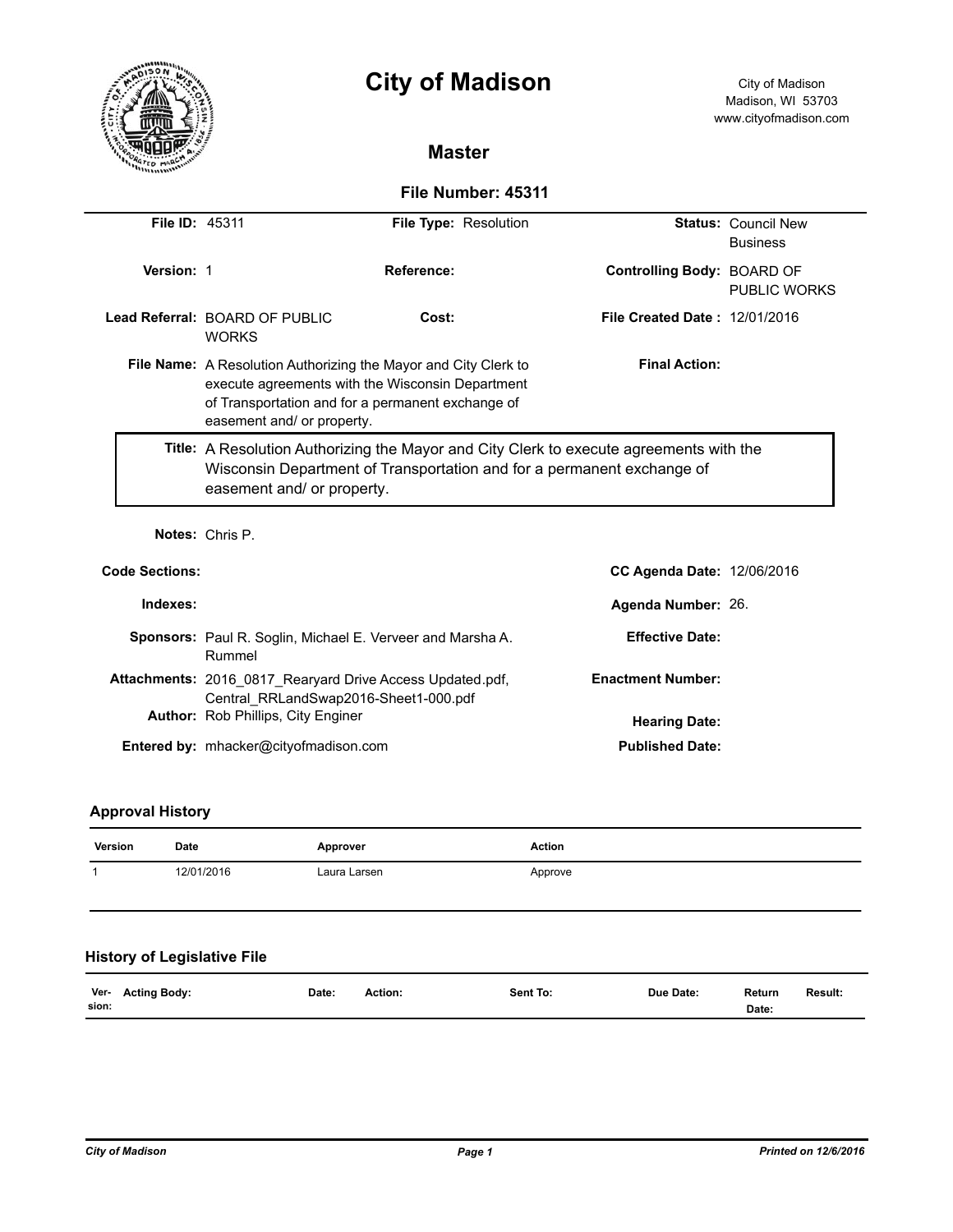

# **City of Madison** City of Madison

# **Master**

# **File Number: 45311**

| <b>File ID: 45311</b> | File Type: Resolution                                                                                                                                                                                                                 |                                   |                               | <b>Status: Council New</b>                        |  |  |
|-----------------------|---------------------------------------------------------------------------------------------------------------------------------------------------------------------------------------------------------------------------------------|-----------------------------------|-------------------------------|---------------------------------------------------|--|--|
|                       |                                                                                                                                                                                                                                       |                                   |                               | <b>Business</b>                                   |  |  |
| Version: 1            |                                                                                                                                                                                                                                       | Reference:                        |                               | Controlling Body: BOARD OF<br><b>PUBLIC WORKS</b> |  |  |
|                       | Lead Referral: BOARD OF PUBLIC<br>Cost:<br><b>WORKS</b>                                                                                                                                                                               |                                   | File Created Date: 12/01/2016 |                                                   |  |  |
|                       | <b>Final Action:</b><br><b>File Name:</b> A Resolution Authorizing the Mayor and City Clerk to<br>execute agreements with the Wisconsin Department<br>of Transportation and for a permanent exchange of<br>easement and/ or property. |                                   |                               |                                                   |  |  |
|                       | Title: A Resolution Authorizing the Mayor and City Clerk to execute agreements with the<br>Wisconsin Department of Transportation and for a permanent exchange of<br>easement and/ or property.                                       |                                   |                               |                                                   |  |  |
|                       | Notes: Chris P.                                                                                                                                                                                                                       |                                   |                               |                                                   |  |  |
| <b>Code Sections:</b> |                                                                                                                                                                                                                                       | <b>CC Agenda Date: 12/06/2016</b> |                               |                                                   |  |  |
| Indexes:              | Agenda Number: 26.                                                                                                                                                                                                                    |                                   |                               |                                                   |  |  |
|                       | <b>Effective Date:</b><br><b>Sponsors:</b> Paul R. Soglin, Michael E. Verveer and Marsha A.<br>Rummel                                                                                                                                 |                                   |                               |                                                   |  |  |
|                       | Attachments: 2016 0817 Rearyard Drive Access Updated.pdf,<br>Central RRLandSwap2016-Sheet1-000.pdf                                                                                                                                    |                                   | <b>Enactment Number:</b>      |                                                   |  |  |
|                       | Author: Rob Phillips, City Enginer<br><b>Hearing Date:</b>                                                                                                                                                                            |                                   |                               |                                                   |  |  |
|                       | Entered by: mhacker@cityofmadison.com                                                                                                                                                                                                 |                                   | <b>Published Date:</b>        |                                                   |  |  |

# **Approval History**

| Version       | Date                               | Approver     |         | <b>Action</b> |           |                 |         |
|---------------|------------------------------------|--------------|---------|---------------|-----------|-----------------|---------|
| 12/01/2016    |                                    | Laura Larsen |         | Approve       |           |                 |         |
|               | <b>History of Legislative File</b> |              |         |               |           |                 |         |
| Ver-<br>sion: | <b>Acting Body:</b>                | Date:        | Action: | Sent To:      | Due Date: | Return<br>Date: | Result: |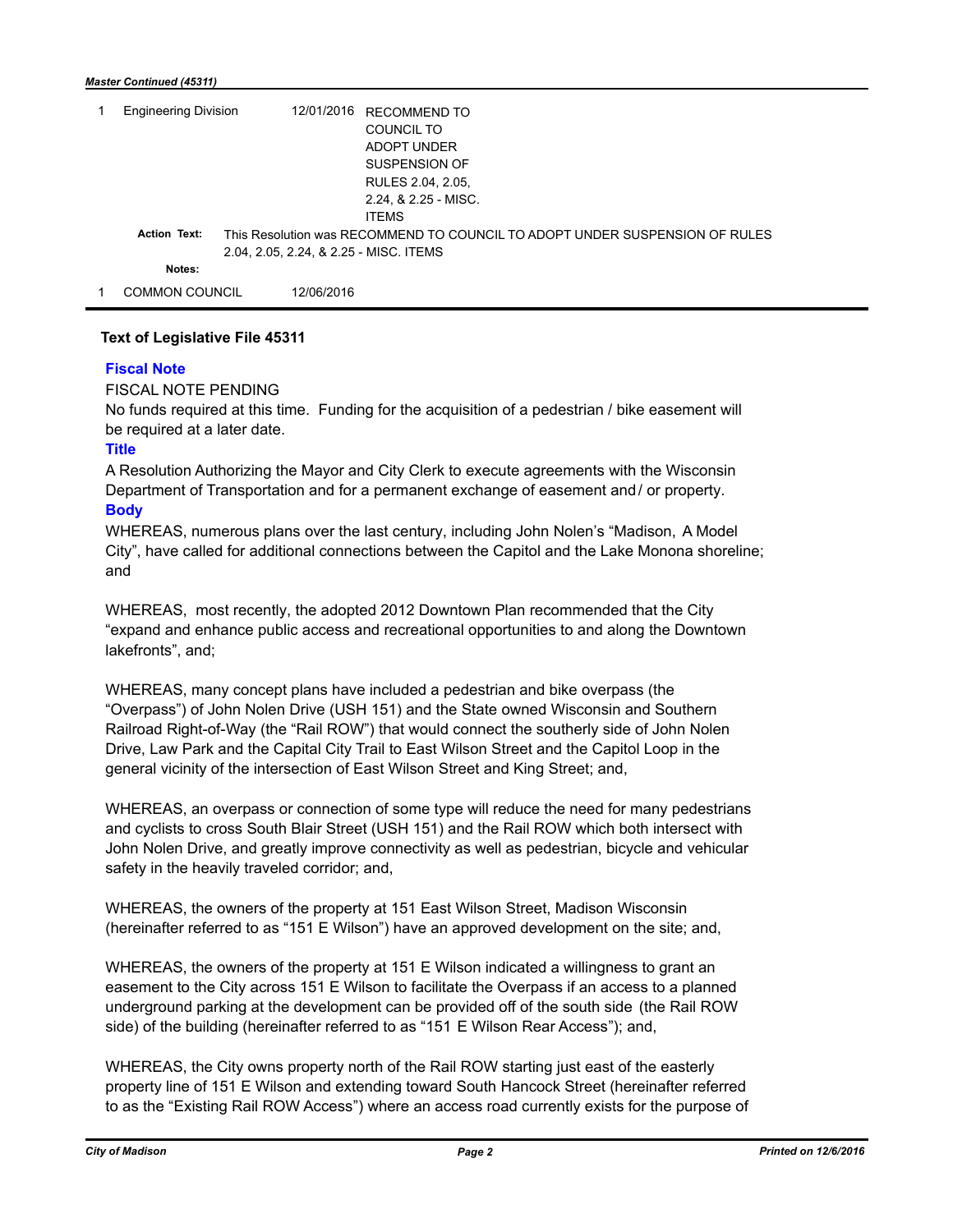#### *Master Continued (45311)*

| <b>Engineering Division</b> |                     | 12/01/2016                             | RECOMMEND TO                                                                |
|-----------------------------|---------------------|----------------------------------------|-----------------------------------------------------------------------------|
|                             |                     |                                        | COUNCIL TO                                                                  |
|                             |                     |                                        | ADOPT UNDER                                                                 |
|                             |                     |                                        | SUSPENSION OF                                                               |
|                             |                     |                                        | RULES 2.04, 2.05,                                                           |
|                             |                     |                                        | 2.24, & 2.25 - MISC.                                                        |
|                             |                     |                                        | <b>ITEMS</b>                                                                |
|                             | <b>Action Text:</b> |                                        | This Resolution was RECOMMEND TO COUNCIL TO ADOPT UNDER SUSPENSION OF RULES |
|                             |                     | 2.04, 2.05, 2.24, & 2.25 - MISC. ITEMS |                                                                             |
|                             | Notes:              |                                        |                                                                             |
|                             | COMMON COUNCIL      | 12/06/2016                             |                                                                             |

## **Text of Legislative File 45311**

## **Fiscal Note**

## FISCAL NOTE PENDING

No funds required at this time. Funding for the acquisition of a pedestrian / bike easement will be required at a later date.

## **Title**

A Resolution Authorizing the Mayor and City Clerk to execute agreements with the Wisconsin Department of Transportation and for a permanent exchange of easement and/ or property. **Body**

WHEREAS, numerous plans over the last century, including John Nolen's "Madison, A Model City", have called for additional connections between the Capitol and the Lake Monona shoreline; and

WHEREAS, most recently, the adopted 2012 Downtown Plan recommended that the City "expand and enhance public access and recreational opportunities to and along the Downtown lakefronts", and;

WHEREAS, many concept plans have included a pedestrian and bike overpass (the "Overpass") of John Nolen Drive (USH 151) and the State owned Wisconsin and Southern Railroad Right-of-Way (the "Rail ROW") that would connect the southerly side of John Nolen Drive, Law Park and the Capital City Trail to East Wilson Street and the Capitol Loop in the general vicinity of the intersection of East Wilson Street and King Street; and,

WHEREAS, an overpass or connection of some type will reduce the need for many pedestrians and cyclists to cross South Blair Street (USH 151) and the Rail ROW which both intersect with John Nolen Drive, and greatly improve connectivity as well as pedestrian, bicycle and vehicular safety in the heavily traveled corridor; and,

WHEREAS, the owners of the property at 151 East Wilson Street, Madison Wisconsin (hereinafter referred to as "151 E Wilson") have an approved development on the site; and,

WHEREAS, the owners of the property at 151 E Wilson indicated a willingness to grant an easement to the City across 151 E Wilson to facilitate the Overpass if an access to a planned underground parking at the development can be provided off of the south side (the Rail ROW side) of the building (hereinafter referred to as "151 E Wilson Rear Access"); and,

WHEREAS, the City owns property north of the Rail ROW starting just east of the easterly property line of 151 E Wilson and extending toward South Hancock Street (hereinafter referred to as the "Existing Rail ROW Access") where an access road currently exists for the purpose of